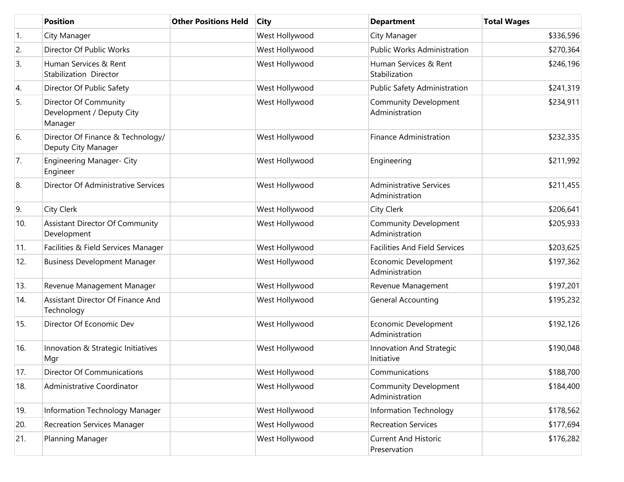|     | <b>Position</b>                                               | <b>Other Positions Held</b> | <b>City</b>    | <b>Department</b>                                | <b>Total Wages</b> |
|-----|---------------------------------------------------------------|-----------------------------|----------------|--------------------------------------------------|--------------------|
| 1.  | City Manager                                                  |                             | West Hollywood | City Manager                                     | \$336,596          |
| 2.  | Director Of Public Works                                      |                             | West Hollywood | <b>Public Works Administration</b>               | \$270,364          |
| 3.  | Human Services & Rent<br>Stabilization Director               |                             | West Hollywood | Human Services & Rent<br>Stabilization           | \$246,196          |
| 4.  | Director Of Public Safety                                     |                             | West Hollywood | Public Safety Administration                     | \$241,319          |
| 5.  | Director Of Community<br>Development / Deputy City<br>Manager |                             | West Hollywood | <b>Community Development</b><br>Administration   | \$234,911          |
| 6.  | Director Of Finance & Technology/<br>Deputy City Manager      |                             | West Hollywood | <b>Finance Administration</b>                    | \$232,335          |
| 7.  | Engineering Manager- City<br>Engineer                         |                             | West Hollywood | Engineering                                      | \$211,992          |
| 8.  | Director Of Administrative Services                           |                             | West Hollywood | <b>Administrative Services</b><br>Administration | \$211,455          |
| 9.  | <b>City Clerk</b>                                             |                             | West Hollywood | City Clerk                                       | \$206,641          |
| 10. | Assistant Director Of Community<br>Development                |                             | West Hollywood | <b>Community Development</b><br>Administration   | \$205,933          |
| 11. | Facilities & Field Services Manager                           |                             | West Hollywood | <b>Facilities And Field Services</b>             | \$203,625          |
| 12. | <b>Business Development Manager</b>                           |                             | West Hollywood | Economic Development<br>Administration           | \$197,362          |
| 13. | Revenue Management Manager                                    |                             | West Hollywood | Revenue Management                               | \$197,201          |
| 14. | Assistant Director Of Finance And<br>Technology               |                             | West Hollywood | <b>General Accounting</b>                        | \$195,232          |
| 15. | Director Of Economic Dev                                      |                             | West Hollywood | Economic Development<br>Administration           | \$192,126          |
| 16. | Innovation & Strategic Initiatives<br>Mgr                     |                             | West Hollywood | Innovation And Strategic<br>Initiative           | \$190,048          |
| 17. | <b>Director Of Communications</b>                             |                             | West Hollywood | Communications                                   | \$188,700          |
| 18. | Administrative Coordinator                                    |                             | West Hollywood | <b>Community Development</b><br>Administration   | \$184,400          |
| 19. | Information Technology Manager                                |                             | West Hollywood | Information Technology                           | \$178,562          |
| 20. | <b>Recreation Services Manager</b>                            |                             | West Hollywood | <b>Recreation Services</b>                       | \$177,694          |
| 21. | Planning Manager                                              |                             | West Hollywood | <b>Current And Historic</b><br>Preservation      | \$176,282          |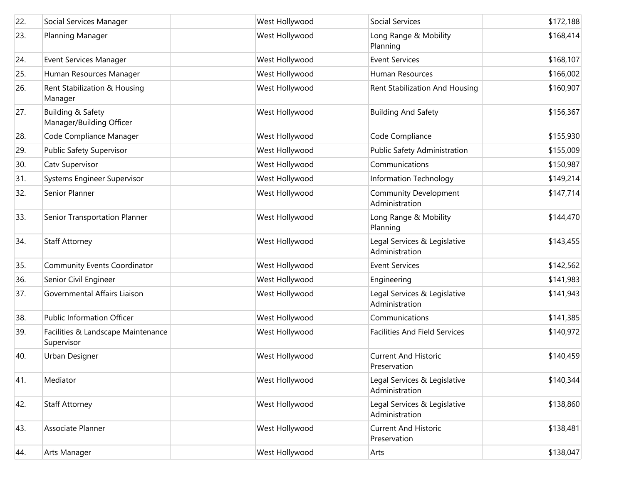| 22. | Social Services Manager                          | West Hollywood | Social Services                                | \$172,188 |
|-----|--------------------------------------------------|----------------|------------------------------------------------|-----------|
| 23. | Planning Manager                                 | West Hollywood | Long Range & Mobility<br>Planning              | \$168,414 |
| 24. | <b>Event Services Manager</b>                    | West Hollywood | <b>Event Services</b>                          | \$168,107 |
| 25. | Human Resources Manager                          | West Hollywood | Human Resources                                | \$166,002 |
| 26. | Rent Stabilization & Housing<br>Manager          | West Hollywood | Rent Stabilization And Housing                 | \$160,907 |
| 27. | Building & Safety<br>Manager/Building Officer    | West Hollywood | <b>Building And Safety</b>                     | \$156,367 |
| 28. | Code Compliance Manager                          | West Hollywood | Code Compliance                                | \$155,930 |
| 29. | Public Safety Supervisor                         | West Hollywood | Public Safety Administration                   | \$155,009 |
| 30. | Catv Supervisor                                  | West Hollywood | Communications                                 | \$150,987 |
| 31. | Systems Engineer Supervisor                      | West Hollywood | Information Technology                         | \$149,214 |
| 32. | Senior Planner                                   | West Hollywood | <b>Community Development</b><br>Administration | \$147,714 |
| 33. | Senior Transportation Planner                    | West Hollywood | Long Range & Mobility<br>Planning              | \$144,470 |
| 34. | <b>Staff Attorney</b>                            | West Hollywood | Legal Services & Legislative<br>Administration | \$143,455 |
| 35. | <b>Community Events Coordinator</b>              | West Hollywood | <b>Event Services</b>                          | \$142,562 |
| 36. | Senior Civil Engineer                            | West Hollywood | Engineering                                    | \$141,983 |
| 37. | Governmental Affairs Liaison                     | West Hollywood | Legal Services & Legislative<br>Administration | \$141,943 |
| 38. | <b>Public Information Officer</b>                | West Hollywood | Communications                                 | \$141,385 |
| 39. | Facilities & Landscape Maintenance<br>Supervisor | West Hollywood | <b>Facilities And Field Services</b>           | \$140,972 |
| 40. | Urban Designer                                   | West Hollywood | <b>Current And Historic</b><br>Preservation    | \$140,459 |
| 41. | Mediator                                         | West Hollywood | Legal Services & Legislative<br>Administration | \$140,344 |
| 42. | <b>Staff Attorney</b>                            | West Hollywood | Legal Services & Legislative<br>Administration | \$138,860 |
| 43. | Associate Planner                                | West Hollywood | <b>Current And Historic</b><br>Preservation    | \$138,481 |
| 44. | Arts Manager                                     | West Hollywood | Arts                                           | \$138,047 |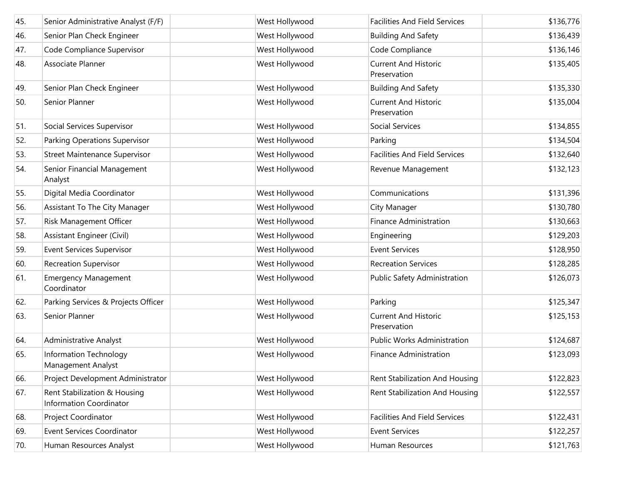| 45. | Senior Administrative Analyst (F/F)                     | West Hollywood | <b>Facilities And Field Services</b>        | \$136,776 |
|-----|---------------------------------------------------------|----------------|---------------------------------------------|-----------|
| 46. | Senior Plan Check Engineer                              | West Hollywood | <b>Building And Safety</b>                  | \$136,439 |
| 47. | Code Compliance Supervisor                              | West Hollywood | Code Compliance                             | \$136,146 |
| 48. | Associate Planner                                       | West Hollywood | <b>Current And Historic</b><br>Preservation | \$135,405 |
| 49. | Senior Plan Check Engineer                              | West Hollywood | <b>Building And Safety</b>                  | \$135,330 |
| 50. | Senior Planner                                          | West Hollywood | <b>Current And Historic</b><br>Preservation | \$135,004 |
| 51. | Social Services Supervisor                              | West Hollywood | Social Services                             | \$134,855 |
| 52. | Parking Operations Supervisor                           | West Hollywood | Parking                                     | \$134,504 |
| 53. | <b>Street Maintenance Supervisor</b>                    | West Hollywood | <b>Facilities And Field Services</b>        | \$132,640 |
| 54. | Senior Financial Management<br>Analyst                  | West Hollywood | Revenue Management                          | \$132,123 |
| 55. | Digital Media Coordinator                               | West Hollywood | Communications                              | \$131,396 |
| 56. | Assistant To The City Manager                           | West Hollywood | City Manager                                | \$130,780 |
| 57. | Risk Management Officer                                 | West Hollywood | <b>Finance Administration</b>               | \$130,663 |
| 58. | Assistant Engineer (Civil)                              | West Hollywood | Engineering                                 | \$129,203 |
| 59. | Event Services Supervisor                               | West Hollywood | <b>Event Services</b>                       | \$128,950 |
| 60. | <b>Recreation Supervisor</b>                            | West Hollywood | <b>Recreation Services</b>                  | \$128,285 |
| 61. | <b>Emergency Management</b><br>Coordinator              | West Hollywood | Public Safety Administration                | \$126,073 |
| 62. | Parking Services & Projects Officer                     | West Hollywood | Parking                                     | \$125,347 |
| 63. | Senior Planner                                          | West Hollywood | <b>Current And Historic</b><br>Preservation | \$125,153 |
| 64. | Administrative Analyst                                  | West Hollywood | <b>Public Works Administration</b>          | \$124,687 |
| 65. | Information Technology<br>Management Analyst            | West Hollywood | <b>Finance Administration</b>               | \$123,093 |
| 66. | Project Development Administrator                       | West Hollywood | Rent Stabilization And Housing              | \$122,823 |
| 67. | Rent Stabilization & Housing<br>Information Coordinator | West Hollywood | Rent Stabilization And Housing              | \$122,557 |
| 68. | Project Coordinator                                     | West Hollywood | <b>Facilities And Field Services</b>        | \$122,431 |
| 69. | <b>Event Services Coordinator</b>                       | West Hollywood | <b>Event Services</b>                       | \$122,257 |
| 70. | Human Resources Analyst                                 | West Hollywood | Human Resources                             | \$121,763 |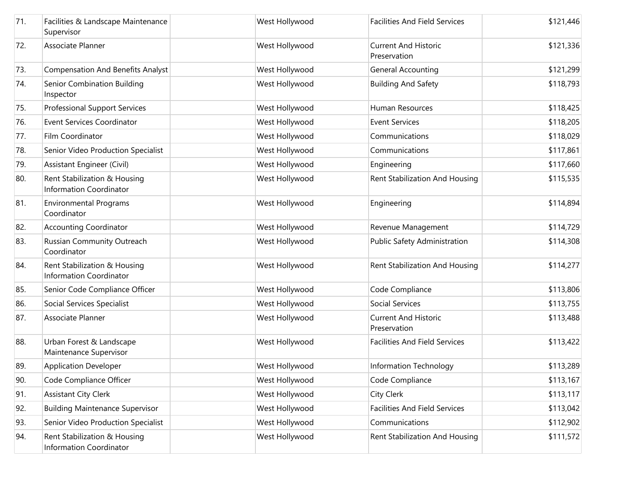| 71. | Facilities & Landscape Maintenance<br>Supervisor               | West Hollywood | <b>Facilities And Field Services</b>        | \$121,446 |
|-----|----------------------------------------------------------------|----------------|---------------------------------------------|-----------|
| 72. | Associate Planner                                              | West Hollywood | <b>Current And Historic</b><br>Preservation | \$121,336 |
| 73. | <b>Compensation And Benefits Analyst</b>                       | West Hollywood | <b>General Accounting</b>                   | \$121,299 |
| 74. | Senior Combination Building<br>Inspector                       | West Hollywood | <b>Building And Safety</b>                  | \$118,793 |
| 75. | Professional Support Services                                  | West Hollywood | Human Resources                             | \$118,425 |
| 76. | <b>Event Services Coordinator</b>                              | West Hollywood | <b>Event Services</b>                       | \$118,205 |
| 77. | Film Coordinator                                               | West Hollywood | Communications                              | \$118,029 |
| 78. | Senior Video Production Specialist                             | West Hollywood | Communications                              | \$117,861 |
| 79. | Assistant Engineer (Civil)                                     | West Hollywood | Engineering                                 | \$117,660 |
| 80. | Rent Stabilization & Housing<br><b>Information Coordinator</b> | West Hollywood | Rent Stabilization And Housing              | \$115,535 |
| 81. | <b>Environmental Programs</b><br>Coordinator                   | West Hollywood | Engineering                                 | \$114,894 |
| 82. | <b>Accounting Coordinator</b>                                  | West Hollywood | Revenue Management                          | \$114,729 |
| 83. | Russian Community Outreach<br>Coordinator                      | West Hollywood | Public Safety Administration                | \$114,308 |
| 84. | Rent Stabilization & Housing<br><b>Information Coordinator</b> | West Hollywood | Rent Stabilization And Housing              | \$114,277 |
| 85. | Senior Code Compliance Officer                                 | West Hollywood | Code Compliance                             | \$113,806 |
| 86. | Social Services Specialist                                     | West Hollywood | Social Services                             | \$113,755 |
| 87. | Associate Planner                                              | West Hollywood | <b>Current And Historic</b><br>Preservation | \$113,488 |
| 88. | Urban Forest & Landscape<br>Maintenance Supervisor             | West Hollywood | <b>Facilities And Field Services</b>        | \$113,422 |
| 89. | <b>Application Developer</b>                                   | West Hollywood | Information Technology                      | \$113,289 |
| 90. | Code Compliance Officer                                        | West Hollywood | Code Compliance                             | \$113,167 |
| 91. | <b>Assistant City Clerk</b>                                    | West Hollywood | City Clerk                                  | \$113,117 |
| 92. | <b>Building Maintenance Supervisor</b>                         | West Hollywood | <b>Facilities And Field Services</b>        | \$113,042 |
| 93. | Senior Video Production Specialist                             | West Hollywood | Communications                              | \$112,902 |
| 94. | Rent Stabilization & Housing<br><b>Information Coordinator</b> | West Hollywood | Rent Stabilization And Housing              | \$111,572 |